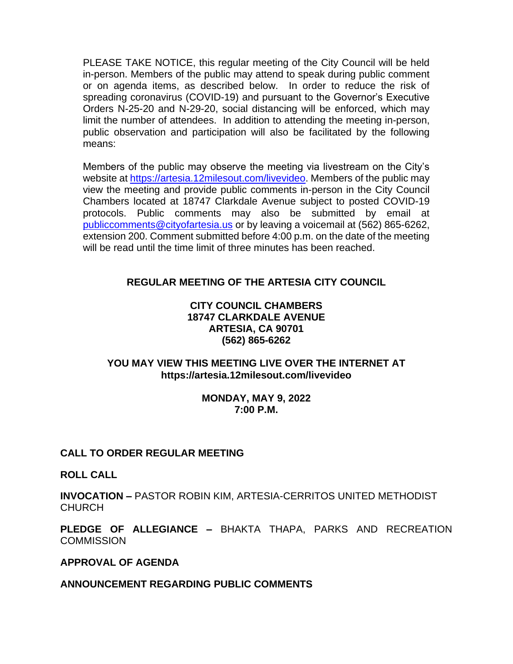PLEASE TAKE NOTICE, this regular meeting of the City Council will be held in-person. Members of the public may attend to speak during public comment or on agenda items, as described below. In order to reduce the risk of spreading coronavirus (COVID-19) and pursuant to the Governor's Executive Orders N-25-20 and N-29-20, social distancing will be enforced, which may limit the number of attendees. In addition to attending the meeting in-person, public observation and participation will also be facilitated by the following means:

Members of the public may observe the meeting via livestream on the City's website at [https://artesia.12milesout.com/livevideo.](https://artesia.12milesout.com/livevideo) Members of the public may view the meeting and provide public comments in-person in the City Council Chambers located at 18747 Clarkdale Avenue subject to posted COVID-19 protocols. Public comments may also be submitted by email at [publiccomments@cityofartesia.us](mailto:publiccomments@cityofartesia.us) or by leaving a voicemail at (562) 865-6262, extension 200. Comment submitted before 4:00 p.m. on the date of the meeting will be read until the time limit of three minutes has been reached.

# **REGULAR MEETING OF THE ARTESIA CITY COUNCIL**

## **CITY COUNCIL CHAMBERS 18747 CLARKDALE AVENUE ARTESIA, CA 90701 (562) 865-6262**

## **YOU MAY VIEW THIS MEETING LIVE OVER THE INTERNET AT https://artesia.12milesout.com/livevideo**

### **MONDAY, MAY 9, 2022 7:00 P.M.**

## **CALL TO ORDER REGULAR MEETING**

**ROLL CALL** 

**INVOCATION –** PASTOR ROBIN KIM, ARTESIA-CERRITOS UNITED METHODIST **CHURCH** 

**PLEDGE OF ALLEGIANCE –** BHAKTA THAPA, PARKS AND RECREATION **COMMISSION** 

## **APPROVAL OF AGENDA**

## **ANNOUNCEMENT REGARDING PUBLIC COMMENTS**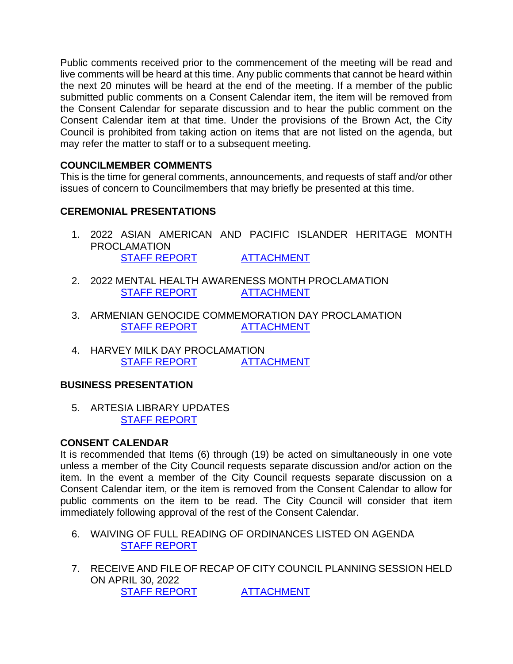Public comments received prior to the commencement of the meeting will be read and live comments will be heard at this time. Any public comments that cannot be heard within the next 20 minutes will be heard at the end of the meeting. If a member of the public submitted public comments on a Consent Calendar item, the item will be removed from the Consent Calendar for separate discussion and to hear the public comment on the Consent Calendar item at that time. Under the provisions of the Brown Act, the City Council is prohibited from taking action on items that are not listed on the agenda, but may refer the matter to staff or to a subsequent meeting.

# **COUNCILMEMBER COMMENTS**

This is the time for general comments, announcements, and requests of staff and/or other issues of concern to Councilmembers that may briefly be presented at this time.

## **CEREMONIAL PRESENTATIONS**

- 1. 2022 ASIAN AMERICAN AND PACIFIC ISLANDER HERITAGE MONTH PROCLAMATION [STAFF REPORT](https://www.cityofartesia.us/DocumentCenter/View/5446/1) [ATTACHMENT](https://www.cityofartesia.us/DocumentCenter/View/5445/1---ATTACH)
- 2. 2022 MENTAL HEALTH AWARENESS MONTH PROCLAMATION [STAFF REPORT](https://www.cityofartesia.us/DocumentCenter/View/5448/2) [ATTACHMENT](https://www.cityofartesia.us/DocumentCenter/View/5447/2---ATTACH)
- 3. ARMENIAN GENOCIDE COMMEMORATION DAY PROCLAMATION [STAFF REPORT](https://www.cityofartesia.us/DocumentCenter/View/5450/3) [ATTACHMENT](https://www.cityofartesia.us/DocumentCenter/View/5449/3---ATTACH)
- 4. HARVEY MILK DAY PROCLAMATION [STAFF REPORT](https://www.cityofartesia.us/DocumentCenter/View/5415/4) [ATTACHMENT](https://www.cityofartesia.us/DocumentCenter/View/5414/4---ATTACH)

# **BUSINESS PRESENTATION**

5. ARTESIA LIBRARY UPDATES [STAFF REPORT](https://www.cityofartesia.us/DocumentCenter/View/5416/5)

## **CONSENT CALENDAR**

It is recommended that Items (6) through (19) be acted on simultaneously in one vote unless a member of the City Council requests separate discussion and/or action on the item. In the event a member of the City Council requests separate discussion on a Consent Calendar item, or the item is removed from the Consent Calendar to allow for public comments on the item to be read. The City Council will consider that item immediately following approval of the rest of the Consent Calendar.

- 6. WAIVING OF FULL READING OF ORDINANCES LISTED ON AGENDA [STAFF REPORT](https://www.cityofartesia.us/DocumentCenter/View/5417/6)
- 7. RECEIVE AND FILE OF RECAP OF CITY COUNCIL PLANNING SESSION HELD ON APRIL 30, 2022 [STAFF REPORT](https://www.cityofartesia.us/DocumentCenter/View/5419/7) [ATTACHMENT](https://www.cityofartesia.us/DocumentCenter/View/5418/7---ATTACH)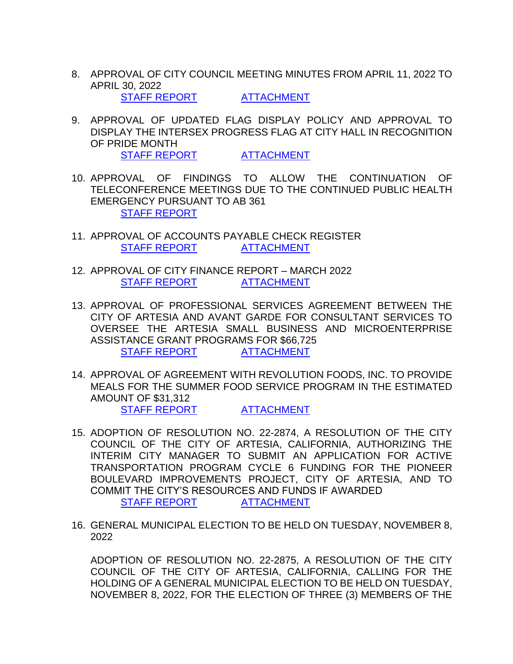8. APPROVAL OF CITY COUNCIL MEETING MINUTES FROM APRIL 11, 2022 TO APRIL 30, 2022

[STAFF REPORT](https://www.cityofartesia.us/DocumentCenter/View/5421/8) [ATTACHMENT](https://www.cityofartesia.us/DocumentCenter/View/5420/8---ATTACH)

9. APPROVAL OF UPDATED FLAG DISPLAY POLICY AND APPROVAL TO DISPLAY THE INTERSEX PROGRESS FLAG AT CITY HALL IN RECOGNITION OF PRIDE MONTH

[STAFF REPORT](https://www.cityofartesia.us/DocumentCenter/View/5423/9) [ATTACHMENT](https://www.cityofartesia.us/DocumentCenter/View/5422/9---ATTACH)

- 10. APPROVAL OF FINDINGS TO ALLOW THE CONTINUATION OF TELECONFERENCE MEETINGS DUE TO THE CONTINUED PUBLIC HEALTH EMERGENCY PURSUANT TO AB 361 [STAFF REPORT](https://www.cityofartesia.us/DocumentCenter/View/5424/10)
- 11. APPROVAL OF ACCOUNTS PAYABLE CHECK REGISTER [STAFF REPORT](https://www.cityofartesia.us/DocumentCenter/View/5426/11) [ATTACHMENT](https://www.cityofartesia.us/DocumentCenter/View/5425/11---ATTACH)
- 12. APPROVAL OF CITY FINANCE REPORT MARCH 2022 [STAFF REPORT](https://www.cityofartesia.us/DocumentCenter/View/5428/12) [ATTACHMENT](https://www.cityofartesia.us/DocumentCenter/View/5427/12---ATTACH)
- 13. APPROVAL OF PROFESSIONAL SERVICES AGREEMENT BETWEEN THE CITY OF ARTESIA AND AVANT GARDE FOR CONSULTANT SERVICES TO OVERSEE THE ARTESIA SMALL BUSINESS AND MICROENTERPRISE ASSISTANCE GRANT PROGRAMS FOR \$66,725 [STAFF REPORT](https://www.cityofartesia.us/DocumentCenter/View/5430/13) [ATTACHMENT](https://www.cityofartesia.us/DocumentCenter/View/5429/13---ATTACH)
- 14. APPROVAL OF AGREEMENT WITH REVOLUTION FOODS, INC. TO PROVIDE MEALS FOR THE SUMMER FOOD SERVICE PROGRAM IN THE ESTIMATED AMOUNT OF \$31,312 [STAFF REPORT](https://www.cityofartesia.us/DocumentCenter/View/5432/14) [ATTACHMENT](https://www.cityofartesia.us/DocumentCenter/View/5431/14---ATTACH)
- 15. ADOPTION OF RESOLUTION NO. 22-2874, A RESOLUTION OF THE CITY COUNCIL OF THE CITY OF ARTESIA, CALIFORNIA, AUTHORIZING THE INTERIM CITY MANAGER TO SUBMIT AN APPLICATION FOR ACTIVE TRANSPORTATION PROGRAM CYCLE 6 FUNDING FOR THE PIONEER BOULEVARD IMPROVEMENTS PROJECT, CITY OF ARTESIA, AND TO COMMIT THE CITY'S RESOURCES AND FUNDS IF AWARDED [STAFF REPORT](https://www.cityofartesia.us/DocumentCenter/View/5434/15) [ATTACHMENT](https://www.cityofartesia.us/DocumentCenter/View/5433/15---ATTACH)
- 16. GENERAL MUNICIPAL ELECTION TO BE HELD ON TUESDAY, NOVEMBER 8, 2022

ADOPTION OF RESOLUTION NO. 22-2875, A RESOLUTION OF THE CITY COUNCIL OF THE CITY OF ARTESIA, CALIFORNIA, CALLING FOR THE HOLDING OF A GENERAL MUNICIPAL ELECTION TO BE HELD ON TUESDAY, NOVEMBER 8, 2022, FOR THE ELECTION OF THREE (3) MEMBERS OF THE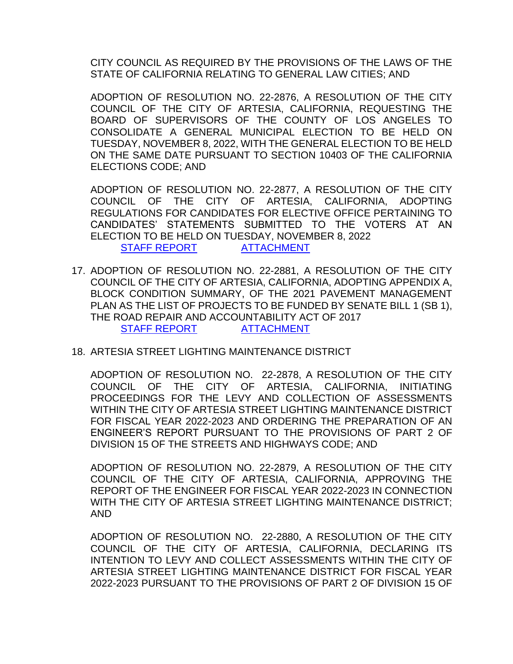CITY COUNCIL AS REQUIRED BY THE PROVISIONS OF THE LAWS OF THE STATE OF CALIFORNIA RELATING TO GENERAL LAW CITIES; AND

ADOPTION OF RESOLUTION NO. 22-2876, A RESOLUTION OF THE CITY COUNCIL OF THE CITY OF ARTESIA, CALIFORNIA, REQUESTING THE BOARD OF SUPERVISORS OF THE COUNTY OF LOS ANGELES TO CONSOLIDATE A GENERAL MUNICIPAL ELECTION TO BE HELD ON TUESDAY, NOVEMBER 8, 2022, WITH THE GENERAL ELECTION TO BE HELD ON THE SAME DATE PURSUANT TO SECTION 10403 OF THE CALIFORNIA ELECTIONS CODE; AND

ADOPTION OF RESOLUTION NO. 22-2877, A RESOLUTION OF THE CITY COUNCIL OF THE CITY OF ARTESIA, CALIFORNIA, ADOPTING REGULATIONS FOR CANDIDATES FOR ELECTIVE OFFICE PERTAINING TO CANDIDATES' STATEMENTS SUBMITTED TO THE VOTERS AT AN ELECTION TO BE HELD ON TUESDAY, NOVEMBER 8, 2022 [STAFF REPORT](https://www.cityofartesia.us/DocumentCenter/View/5436/16) [ATTACHMENT](https://www.cityofartesia.us/DocumentCenter/View/5435/16---ATTACH)

- 17. ADOPTION OF RESOLUTION NO. 22-2881, A RESOLUTION OF THE CITY COUNCIL OF THE CITY OF ARTESIA, CALIFORNIA, ADOPTING APPENDIX A, BLOCK CONDITION SUMMARY, OF THE 2021 PAVEMENT MANAGEMENT PLAN AS THE LIST OF PROJECTS TO BE FUNDED BY SENATE BILL 1 (SB 1), THE ROAD REPAIR AND ACCOUNTABILITY ACT OF 2017 [STAFF REPORT](https://www.cityofartesia.us/DocumentCenter/View/5438/17) [ATTACHMENT](https://www.cityofartesia.us/DocumentCenter/View/5437/17---ATTACH)
- 18. ARTESIA STREET LIGHTING MAINTENANCE DISTRICT

ADOPTION OF RESOLUTION NO. 22-2878, A RESOLUTION OF THE CITY COUNCIL OF THE CITY OF ARTESIA, CALIFORNIA, INITIATING PROCEEDINGS FOR THE LEVY AND COLLECTION OF ASSESSMENTS WITHIN THE CITY OF ARTESIA STREET LIGHTING MAINTENANCE DISTRICT FOR FISCAL YEAR 2022-2023 AND ORDERING THE PREPARATION OF AN ENGINEER'S REPORT PURSUANT TO THE PROVISIONS OF PART 2 OF DIVISION 15 OF THE STREETS AND HIGHWAYS CODE; AND

ADOPTION OF RESOLUTION NO. 22-2879, A RESOLUTION OF THE CITY COUNCIL OF THE CITY OF ARTESIA, CALIFORNIA, APPROVING THE REPORT OF THE ENGINEER FOR FISCAL YEAR 2022-2023 IN CONNECTION WITH THE CITY OF ARTESIA STREET LIGHTING MAINTENANCE DISTRICT; AND

ADOPTION OF RESOLUTION NO. 22-2880, A RESOLUTION OF THE CITY COUNCIL OF THE CITY OF ARTESIA, CALIFORNIA, DECLARING ITS INTENTION TO LEVY AND COLLECT ASSESSMENTS WITHIN THE CITY OF ARTESIA STREET LIGHTING MAINTENANCE DISTRICT FOR FISCAL YEAR 2022-2023 PURSUANT TO THE PROVISIONS OF PART 2 OF DIVISION 15 OF